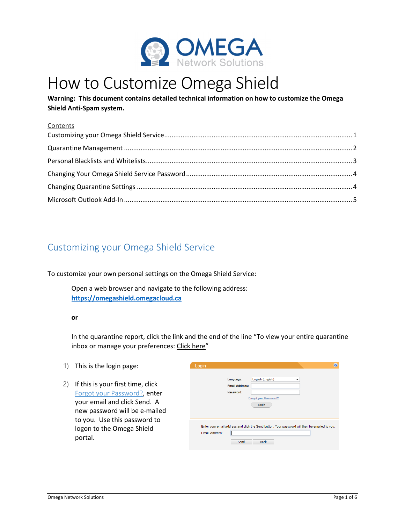

# How to Customize Omega Shield

**Warning: This document contains detailed technical information on how to customize the Omega Shield Anti-Spam system.** 

#### **Contents**

## Customizing your Omega Shield Service

To customize your own personal settings on the Omega Shield Service:

Open a web browser and navigate to the following address: **https://omegashield.omegacloud.ca**

#### **or**

In the quarantine report, click the link and the end of the line "To view your entire quarantine inbox or manage your preferences: Click here"

- 1) This is the login page:
- 2) If this is your first time, click Forgot your Password?, enter your email and click Send. A new password will be e-mailed to you. Use this password to logon to the Omega Shield portal.

| Login          |                                                                                                |                              |   |  |
|----------------|------------------------------------------------------------------------------------------------|------------------------------|---|--|
|                |                                                                                                |                              |   |  |
|                | Language:                                                                                      | English (English)            | ▼ |  |
|                | <b>Email Address:</b>                                                                          |                              |   |  |
|                | Password:                                                                                      |                              |   |  |
|                |                                                                                                | <b>Forgot your Password?</b> |   |  |
|                |                                                                                                | Login                        |   |  |
|                |                                                                                                |                              |   |  |
|                |                                                                                                |                              |   |  |
|                |                                                                                                |                              |   |  |
|                |                                                                                                |                              |   |  |
|                | Enter your email address and click the Send button. Your password will then be emailed to you. |                              |   |  |
| Email Address: |                                                                                                |                              |   |  |
|                | Send                                                                                           | <b>Back</b>                  |   |  |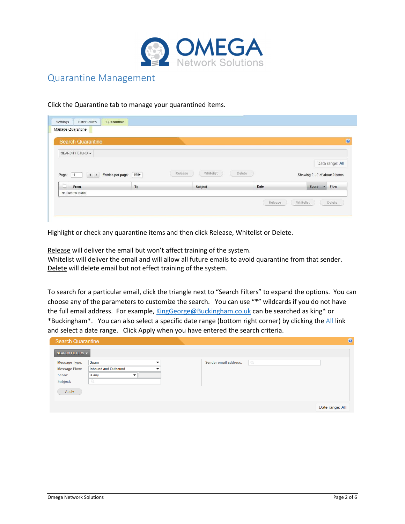

### Quarantine Management

Click the Quarantine tab to manage your quarantined items.

| <b>Search Quarantine</b><br>SEARCH FILTERS $\blacktriangledown$ |                          |                      |        |                                           |
|-----------------------------------------------------------------|--------------------------|----------------------|--------|-------------------------------------------|
|                                                                 |                          |                      |        |                                           |
|                                                                 |                          |                      |        | Date range: All                           |
|                                                                 |                          | Whitelist<br>Release | Delete | Showing 0 - 0 of about 0 items            |
| Page:<br>$\rightarrow$                                          | 150<br>Entries per page: |                      |        |                                           |
| П<br>From                                                       | To                       | <b>Subject</b>       | Date   | Flow<br>Score<br>$\overline{\phantom{a}}$ |

Highlight or check any quarantine items and then click Release, Whitelist or Delete.

Release will deliver the email but won't affect training of the system. Whitelist will deliver the email and will allow all future emails to avoid quarantine from that sender. Delete will delete email but not effect training of the system.

To search for a particular email, click the triangle next to "Search Filters" to expand the options. You can choose any of the parameters to customize the search. You can use "\*" wildcards if you do not have the full email address. For example, KingGeorge@Buckingham.co.uk can be searched as king\* or \*Buckingham\*. You can also select a specific date range (bottom right corner) by clicking the All link and select a date range. Click Apply when you have entered the search criteria.

| <b>Search Quarantine</b>                                           |                                                                                                       |                                   | $\circ$         |
|--------------------------------------------------------------------|-------------------------------------------------------------------------------------------------------|-----------------------------------|-----------------|
| SEARCH FILTERS $\blacktriangledown$                                |                                                                                                       |                                   |                 |
| <b>Message Type:</b><br><b>Message Flow:</b><br>Score:<br>Subject: | Spam<br>$\check{}$<br>Inbound and Outbound<br>$\overline{\phantom{a}}$<br>is any<br>▼<br>$\mathbb{Q}$ | $\alpha$<br>Sender email address: |                 |
| Apply                                                              |                                                                                                       |                                   | Date range: All |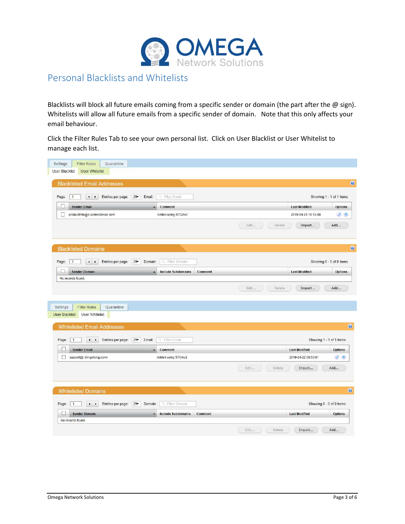

### Personal Blacklists and Whitelists

Blacklists will block all future emails coming from a specific sender or domain (the part after the @ sign). Whitelists will allow all future emails from a specific sender of domain. Note that this only affects your email behaviour.

Click the Filter Rules Tab to see your own personal list. Click on User Blacklist or User Whitelist to manage each list.

| <b>User Whitelist</b><br>User Blacklist<br><b>Blacklisted Email Addresses</b><br>25<br>Q. Filter Email<br>Page:<br>$\mathbf{1}$<br>Entries per page:<br>Email:<br>$\blacktriangleleft$<br>$\cdot$<br><b>Sender Email</b><br><b>Last Modified</b><br>Comment<br>Î.<br>productinfo@e.connectwise.com<br>Added using STOAv2<br>2019-04-26 10:13:48<br>Edit<br>Delete<br>Add<br>Import<br><b>Blacklisted Domains</b><br>Filter Domain<br>Page:<br>Entries per page:<br>25<br>Domain:<br>$\overline{1}$<br>$\blacksquare$<br>Q<br>$\blacktriangleright$<br>L<br><b>Last Modified</b><br><b>Sender Domain</b><br><b>Include Subdomains</b><br>Comment<br>No records found.<br>Edit<br>Delete<br>Import<br>Add<br><b>Filter Rules</b><br>Settings<br>Quarantine<br><b>User Whitelist</b><br><b>User Blacklist</b><br><b>Whitelisted Email Addresses</b><br>Entries per page:<br>25<br>Filter Email<br>Page:<br>$\left  \cdot \right $<br>Email:<br>$\overline{1}$<br>$\blacktriangleright$<br>Ο.<br><b>Sender Email</b><br><b>Last Modified</b><br>Comment<br>$\Box$<br>support@ dingdong.com<br>Added using STOAv2<br>2019-04-22 08:50:01<br>Edit<br>Delete<br>Add<br>Import<br><b>Whitelisted Domains</b><br>Page:<br>Entries per page:<br>25<br>Domain:<br>Filter Domain<br>$\overline{1}$<br>$\left  \cdot \right $<br>٠<br><b>Sender Domain</b><br><b>Include Subdomains</b><br><b>Last Modified</b><br>Comment<br>No records found. |                                                                                                        |
|------------------------------------------------------------------------------------------------------------------------------------------------------------------------------------------------------------------------------------------------------------------------------------------------------------------------------------------------------------------------------------------------------------------------------------------------------------------------------------------------------------------------------------------------------------------------------------------------------------------------------------------------------------------------------------------------------------------------------------------------------------------------------------------------------------------------------------------------------------------------------------------------------------------------------------------------------------------------------------------------------------------------------------------------------------------------------------------------------------------------------------------------------------------------------------------------------------------------------------------------------------------------------------------------------------------------------------------------------------------------------------------------------------------------------------|--------------------------------------------------------------------------------------------------------|
|                                                                                                                                                                                                                                                                                                                                                                                                                                                                                                                                                                                                                                                                                                                                                                                                                                                                                                                                                                                                                                                                                                                                                                                                                                                                                                                                                                                                                                    |                                                                                                        |
|                                                                                                                                                                                                                                                                                                                                                                                                                                                                                                                                                                                                                                                                                                                                                                                                                                                                                                                                                                                                                                                                                                                                                                                                                                                                                                                                                                                                                                    |                                                                                                        |
|                                                                                                                                                                                                                                                                                                                                                                                                                                                                                                                                                                                                                                                                                                                                                                                                                                                                                                                                                                                                                                                                                                                                                                                                                                                                                                                                                                                                                                    |                                                                                                        |
|                                                                                                                                                                                                                                                                                                                                                                                                                                                                                                                                                                                                                                                                                                                                                                                                                                                                                                                                                                                                                                                                                                                                                                                                                                                                                                                                                                                                                                    | Showing 1 - 1 of 1 items                                                                               |
|                                                                                                                                                                                                                                                                                                                                                                                                                                                                                                                                                                                                                                                                                                                                                                                                                                                                                                                                                                                                                                                                                                                                                                                                                                                                                                                                                                                                                                    | <b>Options</b>                                                                                         |
|                                                                                                                                                                                                                                                                                                                                                                                                                                                                                                                                                                                                                                                                                                                                                                                                                                                                                                                                                                                                                                                                                                                                                                                                                                                                                                                                                                                                                                    | $\mathbf{x}$                                                                                           |
|                                                                                                                                                                                                                                                                                                                                                                                                                                                                                                                                                                                                                                                                                                                                                                                                                                                                                                                                                                                                                                                                                                                                                                                                                                                                                                                                                                                                                                    |                                                                                                        |
|                                                                                                                                                                                                                                                                                                                                                                                                                                                                                                                                                                                                                                                                                                                                                                                                                                                                                                                                                                                                                                                                                                                                                                                                                                                                                                                                                                                                                                    |                                                                                                        |
|                                                                                                                                                                                                                                                                                                                                                                                                                                                                                                                                                                                                                                                                                                                                                                                                                                                                                                                                                                                                                                                                                                                                                                                                                                                                                                                                                                                                                                    | Showing 0 - 0 of 0 items                                                                               |
|                                                                                                                                                                                                                                                                                                                                                                                                                                                                                                                                                                                                                                                                                                                                                                                                                                                                                                                                                                                                                                                                                                                                                                                                                                                                                                                                                                                                                                    | <b>Options</b>                                                                                         |
|                                                                                                                                                                                                                                                                                                                                                                                                                                                                                                                                                                                                                                                                                                                                                                                                                                                                                                                                                                                                                                                                                                                                                                                                                                                                                                                                                                                                                                    |                                                                                                        |
|                                                                                                                                                                                                                                                                                                                                                                                                                                                                                                                                                                                                                                                                                                                                                                                                                                                                                                                                                                                                                                                                                                                                                                                                                                                                                                                                                                                                                                    |                                                                                                        |
|                                                                                                                                                                                                                                                                                                                                                                                                                                                                                                                                                                                                                                                                                                                                                                                                                                                                                                                                                                                                                                                                                                                                                                                                                                                                                                                                                                                                                                    |                                                                                                        |
|                                                                                                                                                                                                                                                                                                                                                                                                                                                                                                                                                                                                                                                                                                                                                                                                                                                                                                                                                                                                                                                                                                                                                                                                                                                                                                                                                                                                                                    |                                                                                                        |
|                                                                                                                                                                                                                                                                                                                                                                                                                                                                                                                                                                                                                                                                                                                                                                                                                                                                                                                                                                                                                                                                                                                                                                                                                                                                                                                                                                                                                                    |                                                                                                        |
|                                                                                                                                                                                                                                                                                                                                                                                                                                                                                                                                                                                                                                                                                                                                                                                                                                                                                                                                                                                                                                                                                                                                                                                                                                                                                                                                                                                                                                    |                                                                                                        |
|                                                                                                                                                                                                                                                                                                                                                                                                                                                                                                                                                                                                                                                                                                                                                                                                                                                                                                                                                                                                                                                                                                                                                                                                                                                                                                                                                                                                                                    |                                                                                                        |
|                                                                                                                                                                                                                                                                                                                                                                                                                                                                                                                                                                                                                                                                                                                                                                                                                                                                                                                                                                                                                                                                                                                                                                                                                                                                                                                                                                                                                                    |                                                                                                        |
|                                                                                                                                                                                                                                                                                                                                                                                                                                                                                                                                                                                                                                                                                                                                                                                                                                                                                                                                                                                                                                                                                                                                                                                                                                                                                                                                                                                                                                    |                                                                                                        |
|                                                                                                                                                                                                                                                                                                                                                                                                                                                                                                                                                                                                                                                                                                                                                                                                                                                                                                                                                                                                                                                                                                                                                                                                                                                                                                                                                                                                                                    |                                                                                                        |
|                                                                                                                                                                                                                                                                                                                                                                                                                                                                                                                                                                                                                                                                                                                                                                                                                                                                                                                                                                                                                                                                                                                                                                                                                                                                                                                                                                                                                                    | Showing 1 - 1 of 1 items<br><b>Options</b><br><b>∠ ×</b><br>Showing 0 - 0 of 0 items<br><b>Options</b> |
|                                                                                                                                                                                                                                                                                                                                                                                                                                                                                                                                                                                                                                                                                                                                                                                                                                                                                                                                                                                                                                                                                                                                                                                                                                                                                                                                                                                                                                    |                                                                                                        |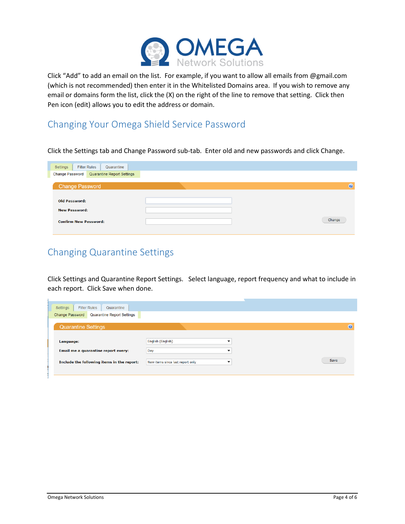

Click "Add" to add an email on the list. For example, if you want to allow all emails from @gmail.com (which is not recommended) then enter it in the Whitelisted Domains area. If you wish to remove any email or domains form the list, click the (X) on the right of the line to remove that setting. Click then Pen icon (edit) allows you to edit the address or domain.

### Changing Your Omega Shield Service Password

Click the Settings tab and Change Password sub-tab. Enter old and new passwords and click Change.

| ൚      |
|--------|
|        |
|        |
|        |
| Change |
|        |

## Changing Quarantine Settings

Click Settings and Quarantine Report Settings. Select language, report frequency and what to include in each report. Click Save when done.

| Quarantine<br><b>Filter Rules</b><br>Settings<br>Change Password<br>Quarantine Report Settings |                                       |      |
|------------------------------------------------------------------------------------------------|---------------------------------------|------|
| <b>Quarantine Settings</b>                                                                     |                                       | ൚    |
| Language:<br>Email me a quarantine report every:                                               | English (English)<br>▼<br>Day<br>▼    |      |
| Include the following items in the report:                                                     | New items since last report only<br>▼ | Save |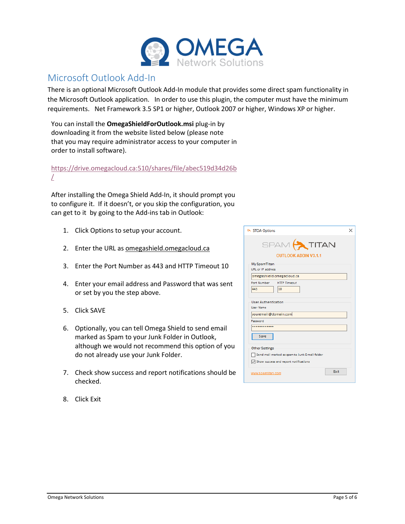

#### Microsoft Outlook Add-In

There is an optional Microsoft Outlook Add-In module that provides some direct spam functionality in the Microsoft Outlook application. In order to use this plugin, the computer must have the minimum requirements. Net Framework 3.5 SP1 or higher, Outlook 2007 or higher, Windows XP or higher.

You can install the **OmegaShieldForOutlook.msi** plug-in by downloading it from the website listed below (please note that you may require administrator access to your computer in order to install software).

https://drive.omegacloud.ca:510/shares/file/abec519d34d26b /

After installing the Omega Shield Add-In, it should prompt you to configure it. If it doesn't, or you skip the configuration, you can get to it by going to the Add-ins tab in Outlook:

- 1. Click Options to setup your account.
- 2. Enter the URL as omegashield.omegacloud.ca
- 3. Enter the Port Number as 443 and HTTP Timeout 10
- 4. Enter your email address and Password that was sent or set by you the step above.
- 5. Click SAVE
- 6. Optionally, you can tell Omega Shield to send email marked as Spam to your Junk Folder in Outlook, although we would not recommend this option of you do not already use your Junk Folder.
- 7. Check show success and report notifications should be checked.
- 8. Click Exit

| <b>A STOA Options</b>                                                                                            | $\times$ |
|------------------------------------------------------------------------------------------------------------------|----------|
| SPAM TITAN<br><b>OUTLOOK ADDIN V3.1.1</b>                                                                        |          |
| My SpamTitan<br>URL or IP address<br>omegashield.omegacloud.ca                                                   |          |
| Port Number<br><b>HTTP Timeout</b><br>443<br>10                                                                  |          |
| <b>User Authentication</b><br>User Name<br>youremail@domain.com                                                  |          |
| Password                                                                                                         |          |
| <br>Save                                                                                                         |          |
| <b>Other Settings</b><br>Send mail marked as spam to Junk E-mail folder<br>Show success and report notifications |          |
| <b>Fxit</b><br>www.spamtitan.com                                                                                 |          |